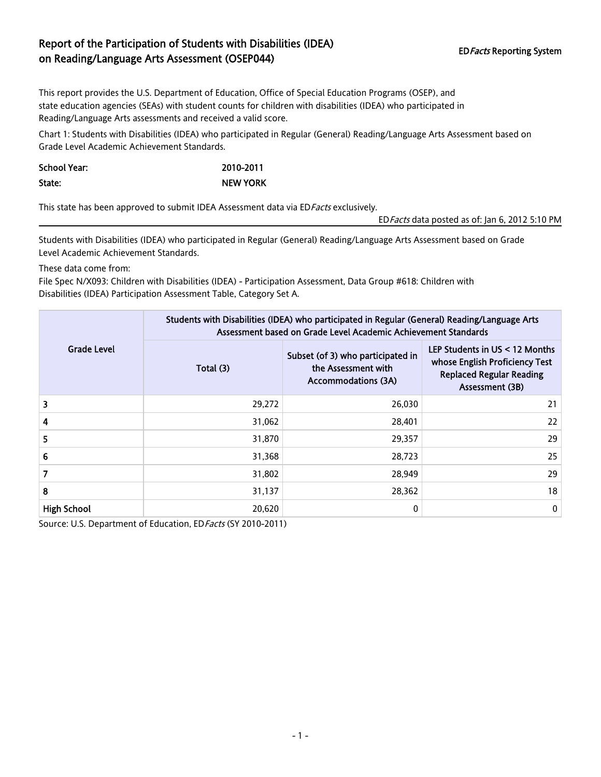## Report of the Participation of Students with Disabilities (IDEA) EDFacts Reporting System<br>
on Reading/Language Arts Assessment (OSEP044)

This report provides the U.S. Department of Education, Office of Special Education Programs (OSEP), and state education agencies (SEAs) with student counts for children with disabilities (IDEA) who participated in Reading/Language Arts assessments and received a valid score.

Chart 1: Students with Disabilities (IDEA) who participated in Regular (General) Reading/Language Arts Assessment based on Grade Level Academic Achievement Standards.

School Year: 2010-2011 State: NEW YORK

This state has been approved to submit IDEA Assessment data via ED Facts exclusively.

EDFacts data posted as of: Jan 6, 2012 5:10 PM

Students with Disabilities (IDEA) who participated in Regular (General) Reading/Language Arts Assessment based on Grade Level Academic Achievement Standards.

These data come from:

File Spec N/X093: Children with Disabilities (IDEA) - Participation Assessment, Data Group #618: Children with Disabilities (IDEA) Participation Assessment Table, Category Set A.

| <b>Grade Level</b> | Students with Disabilities (IDEA) who participated in Regular (General) Reading/Language Arts<br>Assessment based on Grade Level Academic Achievement Standards |                                                                                        |                                                                                                                        |  |  |
|--------------------|-----------------------------------------------------------------------------------------------------------------------------------------------------------------|----------------------------------------------------------------------------------------|------------------------------------------------------------------------------------------------------------------------|--|--|
|                    | Total (3)                                                                                                                                                       | Subset (of 3) who participated in<br>the Assessment with<br><b>Accommodations (3A)</b> | LEP Students in US < 12 Months<br>whose English Proficiency Test<br><b>Replaced Regular Reading</b><br>Assessment (3B) |  |  |
| 3                  | 29,272                                                                                                                                                          | 26,030                                                                                 | 21                                                                                                                     |  |  |
| 4                  | 31,062                                                                                                                                                          | 28,401                                                                                 | 22                                                                                                                     |  |  |
| 5                  | 31,870                                                                                                                                                          | 29,357                                                                                 | 29                                                                                                                     |  |  |
| 6                  | 31,368                                                                                                                                                          | 28,723                                                                                 | 25                                                                                                                     |  |  |
| 7                  | 31,802                                                                                                                                                          | 28,949                                                                                 | 29                                                                                                                     |  |  |
| 8                  | 31,137                                                                                                                                                          | 28,362                                                                                 | 18                                                                                                                     |  |  |
| <b>High School</b> | 20,620                                                                                                                                                          | 0                                                                                      | 0                                                                                                                      |  |  |

Source: U.S. Department of Education, ED Facts (SY 2010-2011)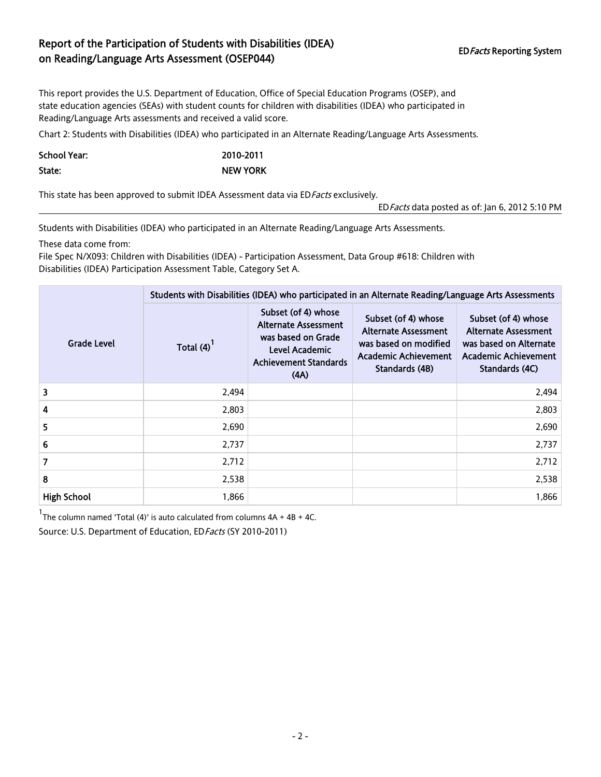## Report of the Participation of Students with Disabilities (IDEA) EDFacts Reporting System<br>
on Reading/Language Arts Assessment (OSEP044)

This report provides the U.S. Department of Education, Office of Special Education Programs (OSEP), and state education agencies (SEAs) with student counts for children with disabilities (IDEA) who participated in Reading/Language Arts assessments and received a valid score.

Chart 2: Students with Disabilities (IDEA) who participated in an Alternate Reading/Language Arts Assessments.

| <b>School Year:</b> | 2010-2011       |
|---------------------|-----------------|
| State:              | <b>NEW YORK</b> |

This state has been approved to submit IDEA Assessment data via ED Facts exclusively.

EDFacts data posted as of: Jan 6, 2012 5:10 PM

Students with Disabilities (IDEA) who participated in an Alternate Reading/Language Arts Assessments.

These data come from:

File Spec N/X093: Children with Disabilities (IDEA) - Participation Assessment, Data Group #618: Children with Disabilities (IDEA) Participation Assessment Table, Category Set A.

|                    | Students with Disabilities (IDEA) who participated in an Alternate Reading/Language Arts Assessments |                                                                                                                                    |                                                                                                                       |                                                                                                                               |  |  |
|--------------------|------------------------------------------------------------------------------------------------------|------------------------------------------------------------------------------------------------------------------------------------|-----------------------------------------------------------------------------------------------------------------------|-------------------------------------------------------------------------------------------------------------------------------|--|--|
| Grade Level        | Total $(4)^{1}$                                                                                      | Subset (of 4) whose<br><b>Alternate Assessment</b><br>was based on Grade<br>Level Academic<br><b>Achievement Standards</b><br>(AA) | Subset (of 4) whose<br><b>Alternate Assessment</b><br>was based on modified<br>Academic Achievement<br>Standards (4B) | Subset (of 4) whose<br><b>Alternate Assessment</b><br>was based on Alternate<br><b>Academic Achievement</b><br>Standards (4C) |  |  |
| 3                  | 2,494                                                                                                |                                                                                                                                    |                                                                                                                       | 2,494                                                                                                                         |  |  |
| 4                  | 2,803                                                                                                |                                                                                                                                    |                                                                                                                       | 2,803                                                                                                                         |  |  |
| 5                  | 2,690                                                                                                |                                                                                                                                    |                                                                                                                       | 2,690                                                                                                                         |  |  |
| 6                  | 2,737                                                                                                |                                                                                                                                    |                                                                                                                       | 2,737                                                                                                                         |  |  |
| 7                  | 2,712                                                                                                |                                                                                                                                    |                                                                                                                       | 2,712                                                                                                                         |  |  |
| 8                  | 2,538                                                                                                |                                                                                                                                    |                                                                                                                       | 2,538                                                                                                                         |  |  |
| <b>High School</b> | 1,866                                                                                                |                                                                                                                                    |                                                                                                                       | 1,866                                                                                                                         |  |  |

 $1$ The column named 'Total (4)' is auto calculated from columns  $4A + 4B + 4C$ .

Source: U.S. Department of Education, ED Facts (SY 2010-2011)